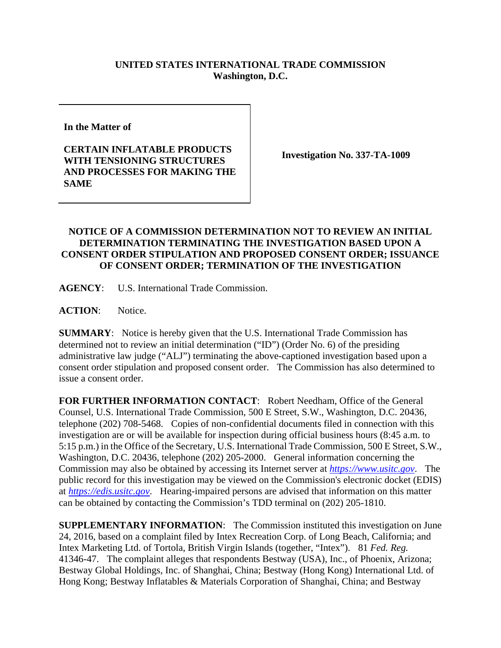## **UNITED STATES INTERNATIONAL TRADE COMMISSION Washington, D.C.**

**In the Matter of** 

**CERTAIN INFLATABLE PRODUCTS WITH TENSIONING STRUCTURES AND PROCESSES FOR MAKING THE SAME** 

**Investigation No. 337-TA-1009** 

## **NOTICE OF A COMMISSION DETERMINATION NOT TO REVIEW AN INITIAL DETERMINATION TERMINATING THE INVESTIGATION BASED UPON A CONSENT ORDER STIPULATION AND PROPOSED CONSENT ORDER; ISSUANCE OF CONSENT ORDER; TERMINATION OF THE INVESTIGATION**

**AGENCY**: U.S. International Trade Commission.

ACTION: Notice.

**SUMMARY**: Notice is hereby given that the U.S. International Trade Commission has determined not to review an initial determination ("ID") (Order No. 6) of the presiding administrative law judge ("ALJ") terminating the above-captioned investigation based upon a consent order stipulation and proposed consent order. The Commission has also determined to issue a consent order.

**FOR FURTHER INFORMATION CONTACT**: Robert Needham, Office of the General Counsel, U.S. International Trade Commission, 500 E Street, S.W., Washington, D.C. 20436, telephone (202) 708-5468. Copies of non-confidential documents filed in connection with this investigation are or will be available for inspection during official business hours (8:45 a.m. to 5:15 p.m.) in the Office of the Secretary, U.S. International Trade Commission, 500 E Street, S.W., Washington, D.C. 20436, telephone (202) 205-2000. General information concerning the Commission may also be obtained by accessing its Internet server at *https://www.usitc.gov*. The public record for this investigation may be viewed on the Commission's electronic docket (EDIS) at *https://edis.usitc.gov*. Hearing-impaired persons are advised that information on this matter can be obtained by contacting the Commission's TDD terminal on (202) 205-1810.

**SUPPLEMENTARY INFORMATION**: The Commission instituted this investigation on June 24, 2016, based on a complaint filed by Intex Recreation Corp. of Long Beach, California; and Intex Marketing Ltd. of Tortola, British Virgin Islands (together, "Intex"). 81 *Fed. Reg.*  41346-47. The complaint alleges that respondents Bestway (USA), Inc., of Phoenix, Arizona; Bestway Global Holdings, Inc. of Shanghai, China; Bestway (Hong Kong) International Ltd. of Hong Kong; Bestway Inflatables & Materials Corporation of Shanghai, China; and Bestway